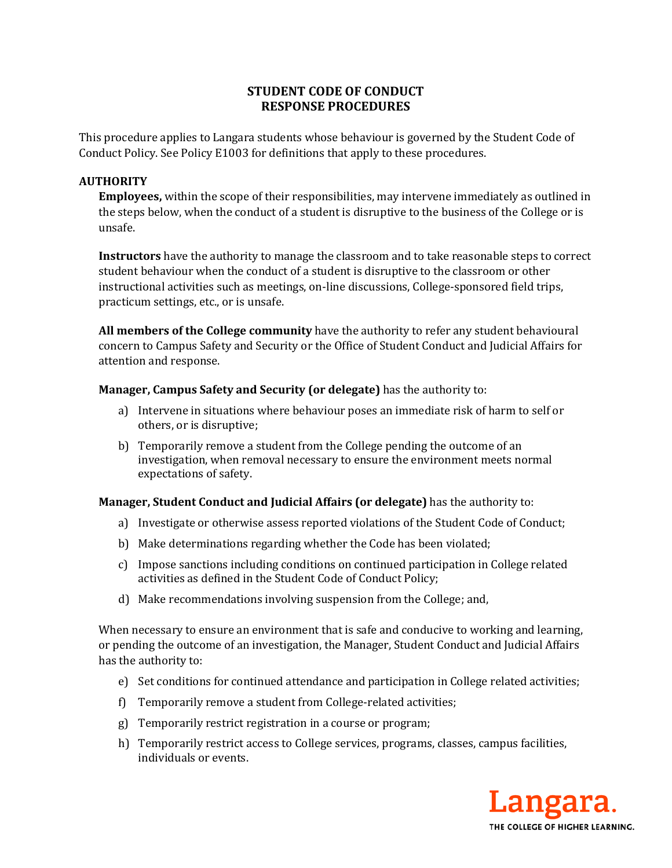## **STUDENT CODE OF CONDUCT RESPONSE PROCEDURES**

This procedure applies to Langara students whose behaviour is governed by the Student Code of Conduct Policy. See Policy E1003 for definitions that apply to these procedures.

## **AUTHORITY**

**Employees,** within the scope of their responsibilities, may intervene immediately as outlined in the steps below, when the conduct of a student is disruptive to the business of the College or is unsafe.

**Instructors** have the authority to manage the classroom and to take reasonable steps to correct student behaviour when the conduct of a student is disruptive to the classroom or other instructional activities such as meetings, on-line discussions, College-sponsored field trips, practicum settings, etc., or is unsafe.

**All members of the College community** have the authority to refer any student behavioural concern to Campus Safety and Security or the Office of Student Conduct and Judicial Affairs for attention and response.

## **Manager, Campus Safety and Security (or delegate)** has the authority to:

- a) Intervene in situations where behaviour poses an immediate risk of harm to self or others, or is disruptive;
- b) Temporarily remove a student from the College pending the outcome of an investigation, when removal necessary to ensure the environment meets normal expectations of safety.

## **Manager, Student Conduct and Judicial Affairs (or delegate)** has the authority to:

- a) Investigate or otherwise assess reported violations of the Student Code of Conduct;
- b) Make determinations regarding whether the Code has been violated;
- c) Impose sanctions including conditions on continued participation in College related activities as defined in the Student Code of Conduct Policy;
- d) Make recommendations involving suspension from the College; and,

When necessary to ensure an environment that is safe and conducive to working and learning, or pending the outcome of an investigation, the Manager, Student Conduct and Judicial Affairs has the authority to:

- e) Set conditions for continued attendance and participation in College related activities;
- f) Temporarily remove a student from College-related activities;
- g) Temporarily restrict registration in a course or program;
- h) Temporarily restrict access to College services, programs, classes, campus facilities, individuals or events.

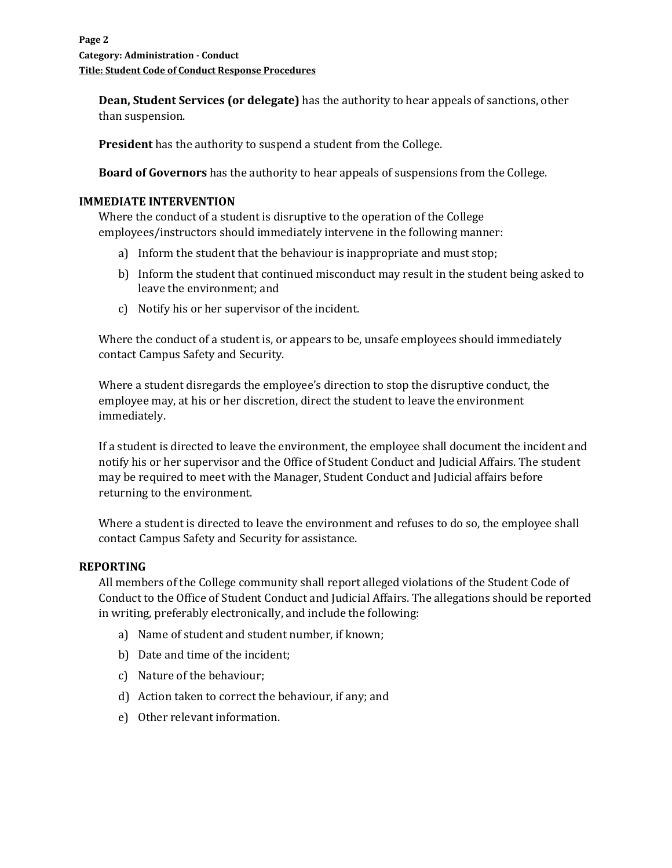**Dean, Student Services (or delegate)** has the authority to hear appeals of sanctions, other than suspension.

**President** has the authority to suspend a student from the College.

**Board of Governors** has the authority to hear appeals of suspensions from the College.

## **IMMEDIATE INTERVENTION**

Where the conduct of a student is disruptive to the operation of the College employees/instructors should immediately intervene in the following manner:

- a) Inform the student that the behaviour is inappropriate and must stop;
- b) Inform the student that continued misconduct may result in the student being asked to leave the environment; and
- c) Notify his or her supervisor of the incident.

Where the conduct of a student is, or appears to be, unsafe employees should immediately contact Campus Safety and Security.

Where a student disregards the employee's direction to stop the disruptive conduct, the employee may, at his or her discretion, direct the student to leave the environment immediately.

If a student is directed to leave the environment, the employee shall document the incident and notify his or her supervisor and the Office of Student Conduct and Judicial Affairs. The student may be required to meet with the Manager, Student Conduct and Judicial affairs before returning to the environment.

Where a student is directed to leave the environment and refuses to do so, the employee shall contact Campus Safety and Security for assistance.

#### **REPORTING**

All members of the College community shall report alleged violations of the Student Code of Conduct to the Office of Student Conduct and Judicial Affairs. The allegations should be reported in writing, preferably electronically, and include the following:

- a) Name of student and student number, if known;
- b) Date and time of the incident;
- c) Nature of the behaviour;
- d) Action taken to correct the behaviour, if any; and
- e) Other relevant information.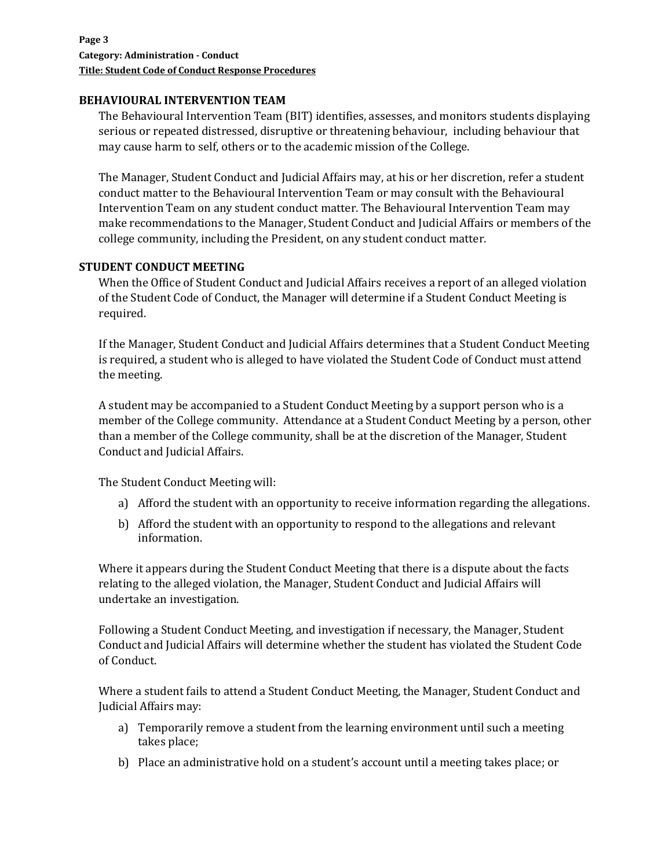### **BEHAVIOURAL INTERVENTION TEAM**

The Behavioural Intervention Team (BIT) identifies, assesses, and monitors students displaying serious or repeated distressed, disruptive or threatening behaviour, including behaviour that may cause harm to self, others or to the academic mission of the College.

The Manager, Student Conduct and Judicial Affairs may, at his or her discretion, refer a student conduct matter to the Behavioural Intervention Team or may consult with the Behavioural Intervention Team on any student conduct matter. The Behavioural Intervention Team may make recommendations to the Manager, Student Conduct and Judicial Affairs or members of the college community, including the President, on any student conduct matter.

## **STUDENT CONDUCT MEETING**

When the Office of Student Conduct and Judicial Affairs receives a report of an alleged violation of the Student Code of Conduct, the Manager will determine if a Student Conduct Meeting is required.

If the Manager, Student Conduct and Judicial Affairs determines that a Student Conduct Meeting is required, a student who is alleged to have violated the Student Code of Conduct must attend the meeting.

A student may be accompanied to a Student Conduct Meeting by a support person who is a member of the College community. Attendance at a Student Conduct Meeting by a person, other than a member of the College community, shall be at the discretion of the Manager, Student Conduct and Judicial Affairs.

The Student Conduct Meeting will:

- a) Afford the student with an opportunity to receive information regarding the allegations.
- b) Afford the student with an opportunity to respond to the allegations and relevant information.

Where it appears during the Student Conduct Meeting that there is a dispute about the facts relating to the alleged violation, the Manager, Student Conduct and Judicial Affairs will undertake an investigation.

Following a Student Conduct Meeting, and investigation if necessary, the Manager, Student Conduct and Judicial Affairs will determine whether the student has violated the Student Code of Conduct.

Where a student fails to attend a Student Conduct Meeting, the Manager, Student Conduct and Judicial Affairs may:

- a) Temporarily remove a student from the learning environment until such a meeting takes place;
- b) Place an administrative hold on a student's account until a meeting takes place; or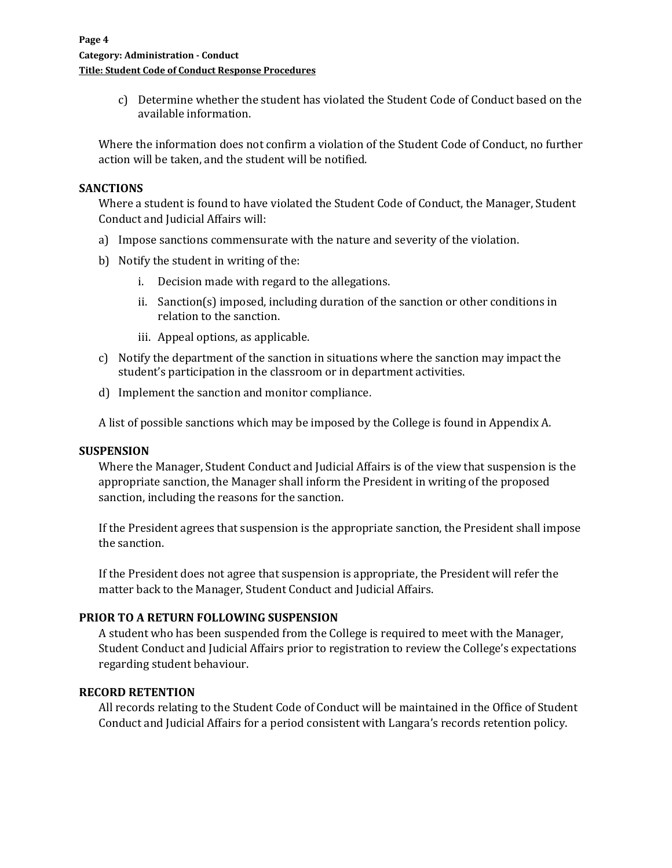c) Determine whether the student has violated the Student Code of Conduct based on the available information.

Where the information does not confirm a violation of the Student Code of Conduct, no further action will be taken, and the student will be notified.

#### **SANCTIONS**

Where a student is found to have violated the Student Code of Conduct, the Manager, Student Conduct and Judicial Affairs will:

- a) Impose sanctions commensurate with the nature and severity of the violation.
- b) Notify the student in writing of the:
	- i. Decision made with regard to the allegations.
	- ii. Sanction(s) imposed, including duration of the sanction or other conditions in relation to the sanction.
	- iii. Appeal options, as applicable.
- c) Notify the department of the sanction in situations where the sanction may impact the student's participation in the classroom or in department activities.
- d) Implement the sanction and monitor compliance.

A list of possible sanctions which may be imposed by the College is found in Appendix A.

#### **SUSPENSION**

Where the Manager, Student Conduct and Judicial Affairs is of the view that suspension is the appropriate sanction, the Manager shall inform the President in writing of the proposed sanction, including the reasons for the sanction.

If the President agrees that suspension is the appropriate sanction, the President shall impose the sanction.

If the President does not agree that suspension is appropriate, the President will refer the matter back to the Manager, Student Conduct and Judicial Affairs.

#### **PRIOR TO A RETURN FOLLOWING SUSPENSION**

A student who has been suspended from the College is required to meet with the Manager, Student Conduct and Judicial Affairs prior to registration to review the College's expectations regarding student behaviour.

#### **RECORD RETENTION**

All records relating to the Student Code of Conduct will be maintained in the Office of Student Conduct and Judicial Affairs for a period consistent with Langara's records retention policy.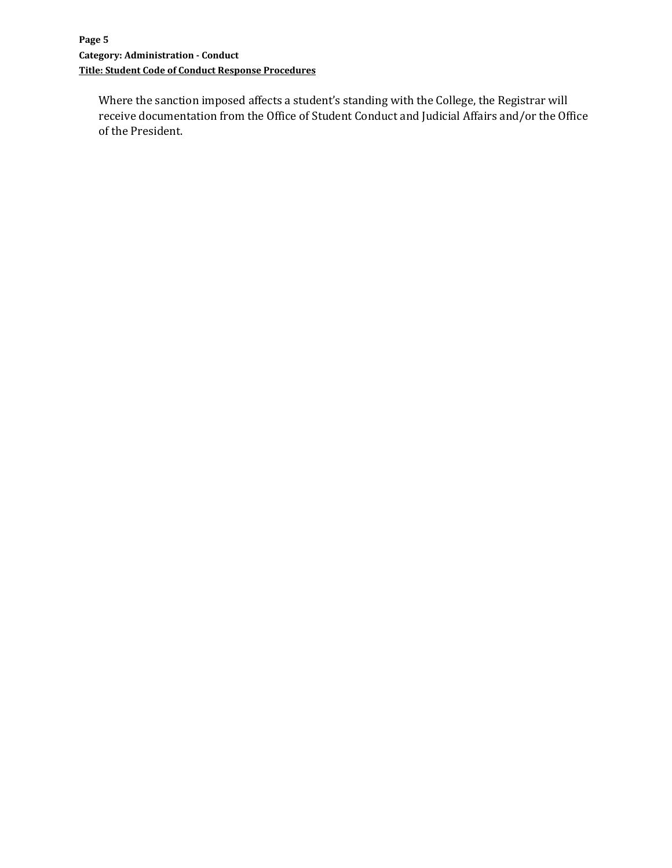Where the sanction imposed affects a student's standing with the College, the Registrar will receive documentation from the Office of Student Conduct and Judicial Affairs and/or the Office of the President.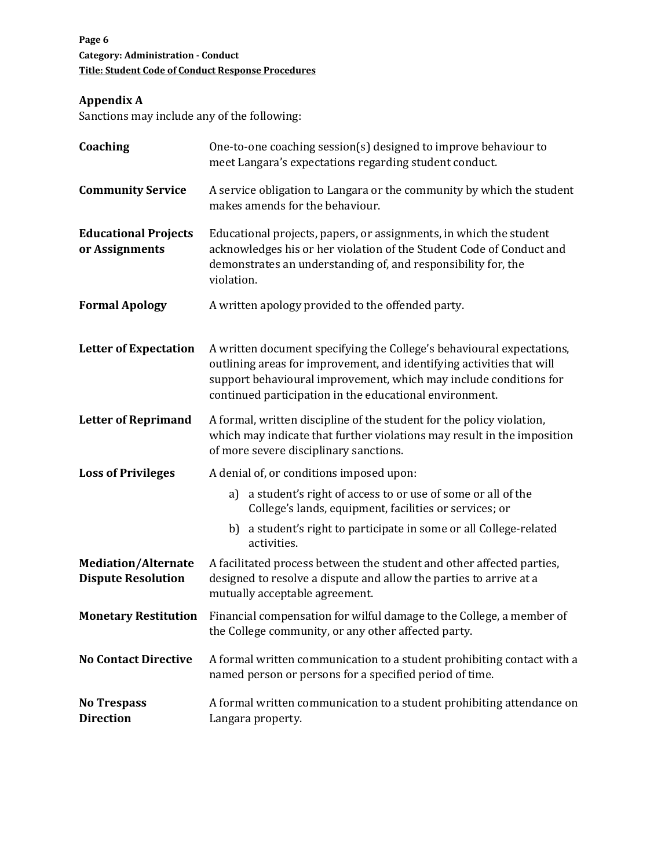# **Appendix A**

Sanctions may include any of the following:

| Coaching                                                | One-to-one coaching session(s) designed to improve behaviour to<br>meet Langara's expectations regarding student conduct.                                                                                                                                                      |
|---------------------------------------------------------|--------------------------------------------------------------------------------------------------------------------------------------------------------------------------------------------------------------------------------------------------------------------------------|
| <b>Community Service</b>                                | A service obligation to Langara or the community by which the student<br>makes amends for the behaviour.                                                                                                                                                                       |
| <b>Educational Projects</b><br>or Assignments           | Educational projects, papers, or assignments, in which the student<br>acknowledges his or her violation of the Student Code of Conduct and<br>demonstrates an understanding of, and responsibility for, the<br>violation.                                                      |
| <b>Formal Apology</b>                                   | A written apology provided to the offended party.                                                                                                                                                                                                                              |
| <b>Letter of Expectation</b>                            | A written document specifying the College's behavioural expectations,<br>outlining areas for improvement, and identifying activities that will<br>support behavioural improvement, which may include conditions for<br>continued participation in the educational environment. |
| <b>Letter of Reprimand</b>                              | A formal, written discipline of the student for the policy violation,<br>which may indicate that further violations may result in the imposition<br>of more severe disciplinary sanctions.                                                                                     |
| <b>Loss of Privileges</b>                               | A denial of, or conditions imposed upon:                                                                                                                                                                                                                                       |
|                                                         | a student's right of access to or use of some or all of the<br>a)<br>College's lands, equipment, facilities or services; or                                                                                                                                                    |
|                                                         | b) a student's right to participate in some or all College-related<br>activities.                                                                                                                                                                                              |
| <b>Mediation/Alternate</b><br><b>Dispute Resolution</b> | A facilitated process between the student and other affected parties,<br>designed to resolve a dispute and allow the parties to arrive at a<br>mutually acceptable agreement.                                                                                                  |
| <b>Monetary Restitution</b>                             | Financial compensation for wilful damage to the College, a member of<br>the College community, or any other affected party.                                                                                                                                                    |
| <b>No Contact Directive</b>                             | A formal written communication to a student prohibiting contact with a<br>named person or persons for a specified period of time.                                                                                                                                              |
| <b>No Trespass</b><br><b>Direction</b>                  | A formal written communication to a student prohibiting attendance on<br>Langara property.                                                                                                                                                                                     |